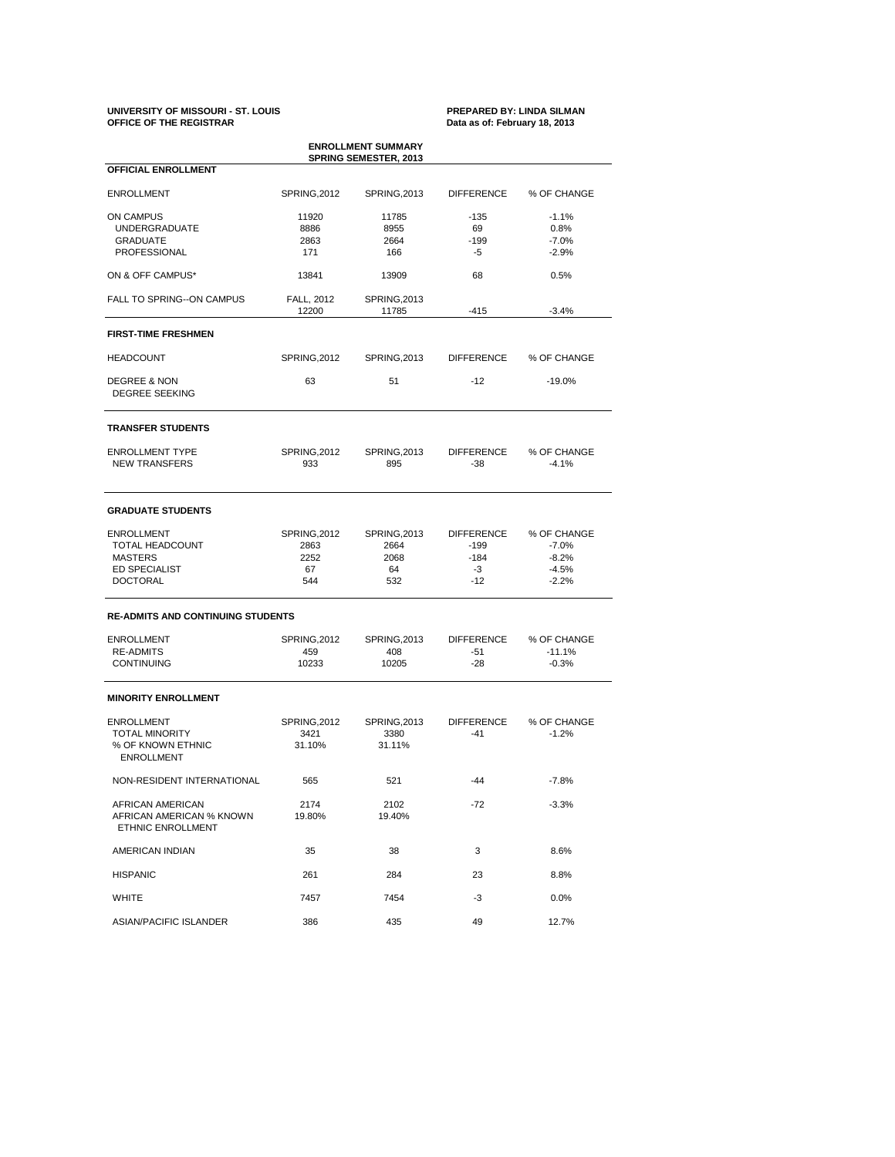### **UNIVERSITY OF MISSOURI - ST. LOUIS PREPARED BY: LINDA SILMAN OFFICE OF THE REGISTRAR Data as of: February 18, 2013**

| <b>ENROLLMENT SUMMARY</b><br><b>SPRING SEMESTER, 2013</b>         |                            |                              |                          |                        |  |  |  |  |  |
|-------------------------------------------------------------------|----------------------------|------------------------------|--------------------------|------------------------|--|--|--|--|--|
| OFFICIAL ENROLLMENT                                               |                            |                              |                          |                        |  |  |  |  |  |
| <b>ENROLLMENT</b>                                                 | SPRING, 2012               | SPRING, 2013                 | <b>DIFFERENCE</b>        | % OF CHANGE            |  |  |  |  |  |
| <b>ON CAMPUS</b>                                                  | 11920                      | 11785                        | $-135$                   | $-1.1%$                |  |  |  |  |  |
| <b>UNDERGRADUATE</b>                                              | 8886                       | 8955                         | 69                       | 0.8%                   |  |  |  |  |  |
| <b>GRADUATE</b>                                                   | 2863                       | 2664                         | $-199$                   | $-7.0%$                |  |  |  |  |  |
| PROFESSIONAL                                                      | 171                        | 166                          | -5                       | $-2.9%$                |  |  |  |  |  |
| ON & OFF CAMPUS*                                                  | 13841                      | 13909                        | 68                       | 0.5%                   |  |  |  |  |  |
| FALL TO SPRING--ON CAMPUS                                         | FALL, 2012<br>12200        | <b>SPRING, 2013</b><br>11785 | $-415$                   | $-3.4%$                |  |  |  |  |  |
| <b>FIRST-TIME FRESHMEN</b>                                        |                            |                              |                          |                        |  |  |  |  |  |
| <b>HEADCOUNT</b>                                                  | SPRING, 2012               | SPRING, 2013                 | <b>DIFFERENCE</b>        | % OF CHANGE            |  |  |  |  |  |
| <b>DEGREE &amp; NON</b><br><b>DEGREE SEEKING</b>                  | 63                         | 51                           | $-12$                    | $-19.0%$               |  |  |  |  |  |
| <b>TRANSFER STUDENTS</b>                                          |                            |                              |                          |                        |  |  |  |  |  |
| <b>ENROLLMENT TYPE</b><br><b>NEW TRANSFERS</b>                    | <b>SPRING, 2012</b><br>933 | SPRING, 2013<br>895          | <b>DIFFERENCE</b><br>-38 | % OF CHANGE<br>$-4.1%$ |  |  |  |  |  |
| <b>GRADUATE STUDENTS</b>                                          |                            |                              |                          |                        |  |  |  |  |  |
| <b>ENROLLMENT</b>                                                 | SPRING, 2012               | SPRING, 2013                 | <b>DIFFERENCE</b>        | % OF CHANGE            |  |  |  |  |  |
| TOTAL HEADCOUNT                                                   | 2863                       | 2664                         | $-199$                   | $-7.0%$                |  |  |  |  |  |
| <b>MASTERS</b>                                                    | 2252                       | 2068                         | $-184$                   | $-8.2%$                |  |  |  |  |  |
| ED SPECIALIST                                                     | 67                         | 64                           | $-3$                     | $-4.5%$                |  |  |  |  |  |
| <b>DOCTORAL</b>                                                   | 544                        | 532                          | $-12$                    | $-2.2%$                |  |  |  |  |  |
| <b>RE-ADMITS AND CONTINUING STUDENTS</b>                          |                            |                              |                          |                        |  |  |  |  |  |
| <b>ENROLLMENT</b>                                                 | <b>SPRING, 2012</b>        | SPRING, 2013                 | <b>DIFFERENCE</b>        | % OF CHANGE            |  |  |  |  |  |
| <b>RE-ADMITS</b>                                                  | 459                        | 408                          | -51                      | $-11.1%$               |  |  |  |  |  |
| <b>CONTINUING</b>                                                 | 10233                      | 10205                        | $-28$                    | $-0.3%$                |  |  |  |  |  |
| <b>MINORITY ENROLLMENT</b>                                        |                            |                              |                          |                        |  |  |  |  |  |
| <b>ENROLLMENT</b>                                                 | SPRING, 2012               | <b>SPRING, 2013</b>          | <b>DIFFERENCE</b>        | % OF CHANGE            |  |  |  |  |  |
| <b>TOTAL MINORITY</b>                                             | 3421                       | 3380                         | $-41$                    | $-1.2%$                |  |  |  |  |  |
| % OF KNOWN ETHNIC<br><b>ENROLLMENT</b>                            | 31.10%                     | 31.11%                       |                          |                        |  |  |  |  |  |
| NON-RESIDENT INTERNATIONAL                                        | 565                        | 521                          | $-44$                    | $-7.8%$                |  |  |  |  |  |
| AFRICAN AMERICAN<br>AFRICAN AMERICAN % KNOWN<br>ETHNIC ENROLLMENT | 2174<br>19.80%             | 2102<br>19.40%               | -72                      | $-3.3%$                |  |  |  |  |  |
| AMERICAN INDIAN                                                   | 35                         | 38                           | 3                        | 8.6%                   |  |  |  |  |  |
| <b>HISPANIC</b>                                                   | 261                        | 284                          | 23                       | 8.8%                   |  |  |  |  |  |
| <b>WHITE</b>                                                      | 7457                       | 7454                         | $-3$                     | $0.0\%$                |  |  |  |  |  |
| ASIAN/PACIFIC ISLANDER                                            | 386                        | 435                          | 49                       | 12.7%                  |  |  |  |  |  |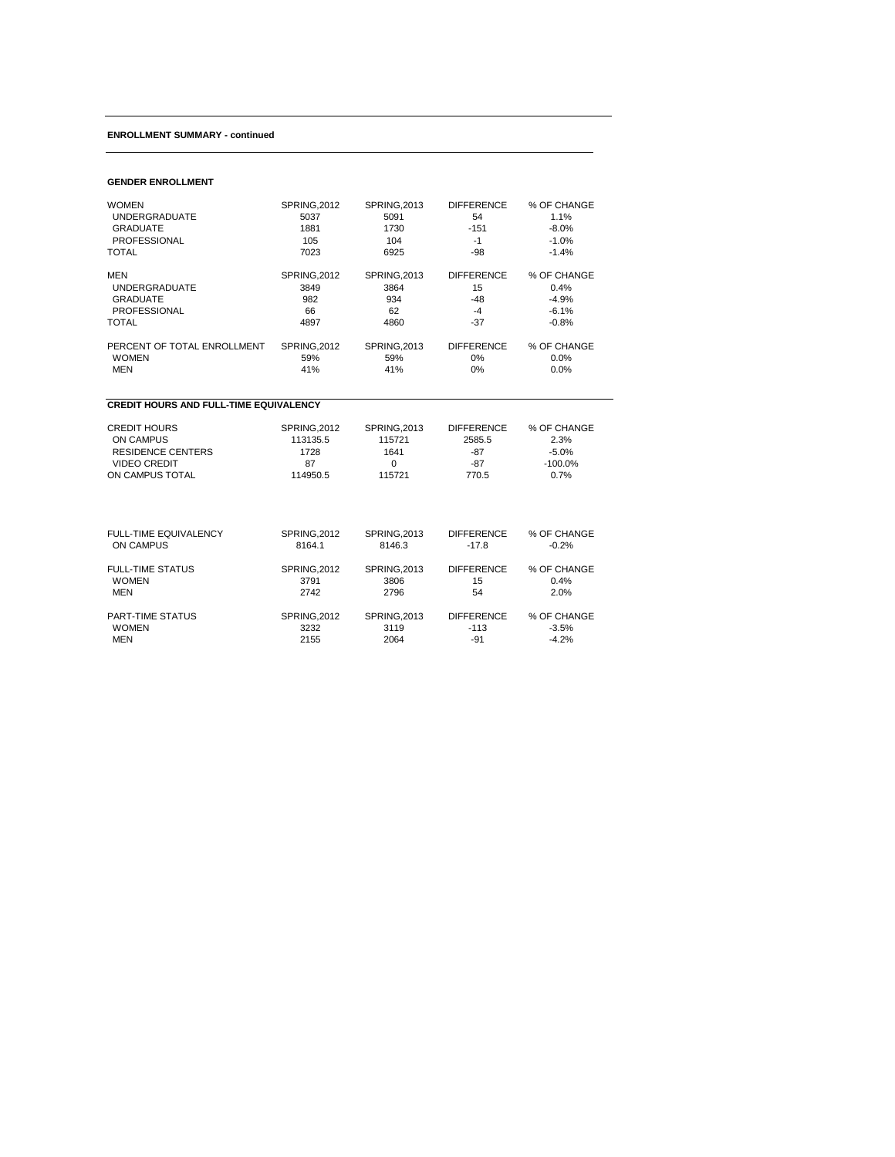## **ENROLLMENT SUMMARY - continued**

## **GENDER ENROLLMENT**

| <b>WOMEN</b>                                  | <b>SPRING, 2012</b> | <b>SPRING, 2013</b> | <b>DIFFERENCE</b> | % OF CHANGE |  |  |  |  |
|-----------------------------------------------|---------------------|---------------------|-------------------|-------------|--|--|--|--|
| <b>UNDERGRADUATE</b>                          | 5037                | 5091                | 54                | 1.1%        |  |  |  |  |
| <b>GRADUATE</b>                               | 1881                | 1730                | $-151$            | $-8.0%$     |  |  |  |  |
| <b>PROFESSIONAL</b>                           | 105                 | 104                 | $-1$              | $-1.0%$     |  |  |  |  |
| <b>TOTAL</b>                                  | 7023                | 6925                | $-98$             | $-1.4%$     |  |  |  |  |
| <b>MEN</b>                                    | <b>SPRING, 2012</b> | <b>SPRING, 2013</b> | <b>DIFFERENCE</b> | % OF CHANGE |  |  |  |  |
| <b>UNDERGRADUATE</b>                          | 3849                | 3864                | 15                | 0.4%        |  |  |  |  |
| <b>GRADUATE</b>                               | 982                 | 934                 | $-48$             | $-4.9%$     |  |  |  |  |
| <b>PROFESSIONAL</b>                           | 66                  | 62                  | $-4$              | $-6.1%$     |  |  |  |  |
| <b>TOTAL</b>                                  | 4897                | 4860                | $-37$             | $-0.8%$     |  |  |  |  |
| PERCENT OF TOTAL ENROLLMENT                   | <b>SPRING, 2012</b> | <b>SPRING, 2013</b> | <b>DIFFERENCE</b> | % OF CHANGE |  |  |  |  |
| <b>WOMEN</b>                                  | 59%                 | 59%                 | 0%                | 0.0%        |  |  |  |  |
| <b>MEN</b>                                    | 41%                 | 41%                 | 0%                | 0.0%        |  |  |  |  |
| <b>CREDIT HOURS AND FULL-TIME EQUIVALENCY</b> |                     |                     |                   |             |  |  |  |  |
| <b>CREDIT HOURS</b>                           | <b>SPRING.2012</b>  | <b>SPRING.2013</b>  | <b>DIFFERENCE</b> | % OF CHANGE |  |  |  |  |
| <b>ON CAMPUS</b>                              | 113135.5            | 115721              | 2585.5            | 2.3%        |  |  |  |  |
| <b>RESIDENCE CENTERS</b>                      | 1728                | 1641                | $-87$             | $-5.0%$     |  |  |  |  |
| <b>VIDEO CREDIT</b>                           | 87                  | 0                   | $-87$             | $-100.0%$   |  |  |  |  |
| ON CAMPUS TOTAL                               | 114950.5            | 115721              | 770.5             | 0.7%        |  |  |  |  |
| FULL-TIME EQUIVALENCY                         | <b>SPRING, 2012</b> | <b>SPRING, 2013</b> | <b>DIFFERENCE</b> | % OF CHANGE |  |  |  |  |
| <b>ON CAMPUS</b>                              | 8164.1              | 8146.3              | $-17.8$           | $-0.2%$     |  |  |  |  |
| <b>FULL-TIME STATUS</b>                       | <b>SPRING, 2012</b> | <b>SPRING, 2013</b> | <b>DIFFERENCE</b> | % OF CHANGE |  |  |  |  |
| <b>WOMEN</b>                                  | 3791                | 3806                | 15                | 0.4%        |  |  |  |  |
| <b>MEN</b>                                    | 2742                | 2796                | 54                | 2.0%        |  |  |  |  |
| <b>PART-TIME STATUS</b>                       | <b>SPRING, 2012</b> | <b>SPRING, 2013</b> | <b>DIFFERENCE</b> | % OF CHANGE |  |  |  |  |
| <b>WOMEN</b>                                  | 3232                | 3119                | $-113$            | $-3.5%$     |  |  |  |  |
| <b>MEN</b>                                    | 2155                | 2064                | $-91$             | $-4.2%$     |  |  |  |  |